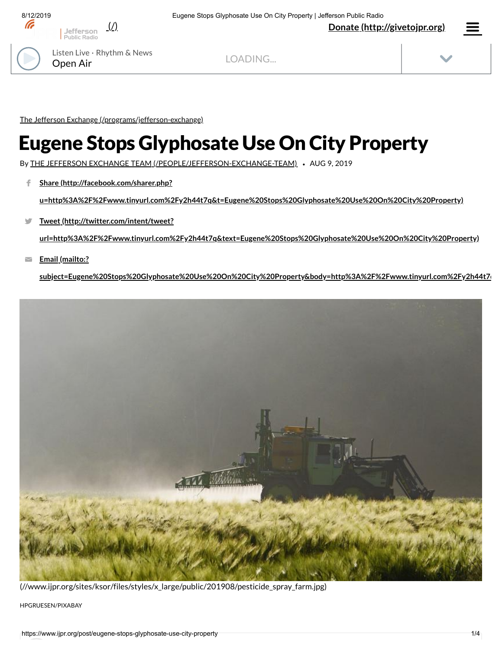

LOADING...

The Jefferson Exchange [\(/programs/jefferson-exchange\)](https://www.ijpr.org/programs/jefferson-exchange)

## Eugene Stops Glyphosate Use On City Property

By THE JEFFERSON EXCHANGE TEAM [\(/PEOPLE/JEFFERSON-EXCHANGE-TEAM\)](https://www.ijpr.org/people/jefferson-exchange-team) *•* AUG 9, 2019

**Share (http://facebook.com/sharer.php?** f

**[u=http%3A%2F%2Fwww.tinyurl.com%2Fy2h44t7q&t=Eugene%20Stops%20Glyphosate%20Use%20On%20City%20Property\)](http://facebook.com/sharer.php?u=http%3A%2F%2Fwww.tinyurl.com%2Fy2h44t7q&t=Eugene%20Stops%20Glyphosate%20Use%20On%20City%20Property)**

**Tweet (http://twitter.com/intent/tweet?** Ŵ

**[url=http%3A%2F%2Fwww.tinyurl.com%2Fy2h44t7q&text=Eugene%20Stops%20Glyphosate%20Use%20On%20City%20Property\)](http://twitter.com/intent/tweet?url=http%3A%2F%2Fwww.tinyurl.com%2Fy2h44t7q&text=Eugene%20Stops%20Glyphosate%20Use%20On%20City%20Property)**

**Email (mailto:?**  $\overline{\phantom{0}}$ 

**[subject=Eugene%20Stops%20Glyphosate%20Use%20On%20City%20Property&body=http%3A%2F%2Fwww.tinyurl.com%2Fy2h44t7q](mailto:?subject=Eugene%20Stops%20Glyphosate%20Use%20On%20City%20Property&body=http%3A%2F%2Fwww.tinyurl.com%2Fy2h44t7q)**



[\(//www.ijpr.org/sites/ksor/files/styles/x\\_large/public/201908/pesticide\\_spray\\_farm.jpg\)](https://www.ijpr.org/sites/ksor/files/styles/x_large/public/201908/pesticide_spray_farm.jpg)

HPGRUESEN/PIXABAY